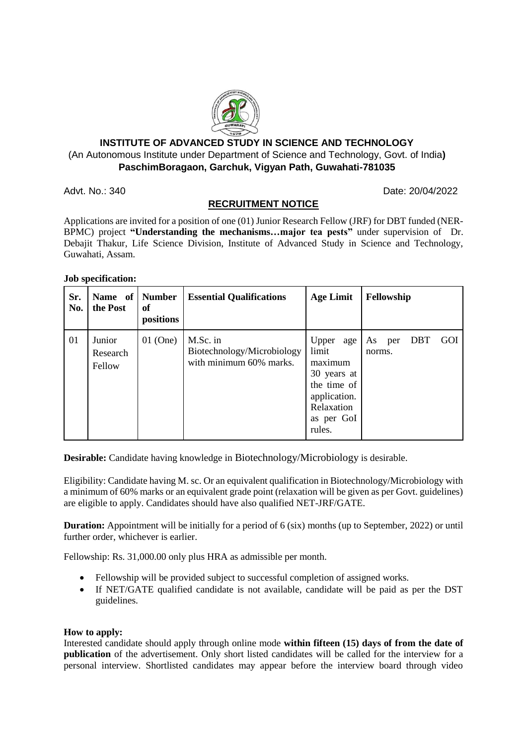

### **INSTITUTE OF ADVANCED STUDY IN SCIENCE AND TECHNOLOGY** (An Autonomous Institute under Department of Science and Technology, Govt. of India**) PaschimBoragaon, Garchuk, Vigyan Path, Guwahati-781035**

Advt. No.: 340 **Date: 20/04/2022** 

# **RECRUITMENT NOTICE**

Applications are invited for a position of one (01) Junior Research Fellow (JRF) for DBT funded (NER-BPMC) project **"Understanding the mechanisms…major tea pests"** under supervision of Dr. Debajit Thakur, Life Science Division, Institute of Advanced Study in Science and Technology, Guwahati, Assam.

#### **Job specification:**

| Sr.<br>No. | Name of<br>the Post          | <b>Number</b><br>of<br>positions | <b>Essential Qualifications</b>                                   | <b>Age Limit</b>                                                                                                  | Fellowship                               |
|------------|------------------------------|----------------------------------|-------------------------------------------------------------------|-------------------------------------------------------------------------------------------------------------------|------------------------------------------|
| 01         | Junior<br>Research<br>Fellow | $01$ (One)                       | M.Sc. in<br>Biotechnology/Microbiology<br>with minimum 60% marks. | Upper age<br>limit<br>maximum<br>30 years at<br>the time of<br>application.<br>Relaxation<br>as per GoI<br>rules. | <b>DBT</b><br>GOI<br>As<br>per<br>norms. |

**Desirable:** Candidate having knowledge in Biotechnology/Microbiology is desirable.

Eligibility: Candidate having M. sc. Or an equivalent qualification in Biotechnology/Microbiology with a minimum of 60% marks or an equivalent grade point (relaxation will be given as per Govt. guidelines) are eligible to apply. Candidates should have also qualified NET-JRF/GATE.

**Duration:** Appointment will be initially for a period of 6 (six) months (up to September, 2022) or until further order, whichever is earlier.

Fellowship: Rs. 31,000.00 only plus HRA as admissible per month.

- Fellowship will be provided subject to successful completion of assigned works.
- If NET/GATE qualified candidate is not available, candidate will be paid as per the DST guidelines.

#### **How to apply:**

Interested candidate should apply through online mode **within fifteen (15) days of from the date of publication** of the advertisement. Only short listed candidates will be called for the interview for a personal interview. Shortlisted candidates may appear before the interview board through video